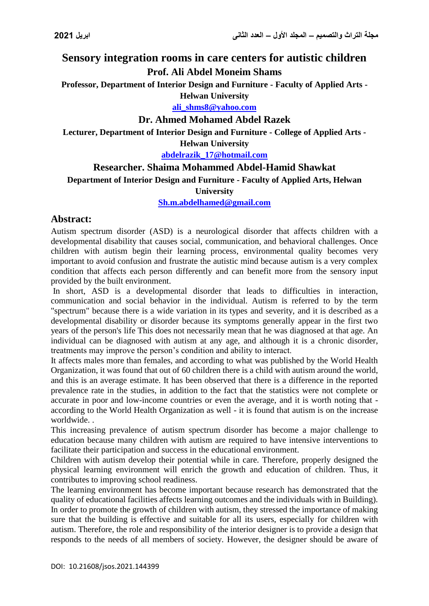# **Sensory integration rooms in care centers for autistic children Prof. Ali Abdel Moneim Shams**

**Professor, Department of Interior Design and Furniture - Faculty of Applied Arts - Helwan University**

**[ali\\_shms8@yahoo.com](mailto:ali_shms8@yahoo.com)**

# **Dr. Ahmed Mohamed Abdel Razek**

**Lecturer, Department of Interior Design and Furniture - College of Applied Arts - Helwan University**

**[abdelrazik\\_17@hotmail.com](mailto:abdelrazik_17@hotmail.com)**

# **Researcher. Shaima Mohammed Abdel-Hamid Shawkat**

**Department of Interior Design and Furniture - Faculty of Applied Arts, Helwan** 

#### **University**

**[Sh.m.abdelhamed@gmail.com](mailto:Sh.m.abdelhamed@gmail.com)**

## **Abstract:**

Autism spectrum disorder (ASD) is a neurological disorder that affects children with a developmental disability that causes social, communication, and behavioral challenges. Once children with autism begin their learning process, environmental quality becomes very important to avoid confusion and frustrate the autistic mind because autism is a very complex condition that affects each person differently and can benefit more from the sensory input provided by the built environment.

In short, ASD is a developmental disorder that leads to difficulties in interaction, communication and social behavior in the individual. Autism is referred to by the term "spectrum" because there is a wide variation in its types and severity, and it is described as a developmental disability or disorder because its symptoms generally appear in the first two years of the person's life This does not necessarily mean that he was diagnosed at that age. An individual can be diagnosed with autism at any age, and although it is a chronic disorder, treatments may improve the person's condition and ability to interact.

It affects males more than females, and according to what was published by the World Health Organization, it was found that out of 60 children there is a child with autism around the world, and this is an average estimate. It has been observed that there is a difference in the reported prevalence rate in the studies, in addition to the fact that the statistics were not complete or accurate in poor and low-income countries or even the average, and it is worth noting that according to the World Health Organization as well - it is found that autism is on the increase worldwide. .

This increasing prevalence of autism spectrum disorder has become a major challenge to education because many children with autism are required to have intensive interventions to facilitate their participation and success in the educational environment.

Children with autism develop their potential while in care. Therefore, properly designed the physical learning environment will enrich the growth and education of children. Thus, it contributes to improving school readiness.

The learning environment has become important because research has demonstrated that the quality of educational facilities affects learning outcomes and the individuals with in Building). In order to promote the growth of children with autism, they stressed the importance of making sure that the building is effective and suitable for all its users, especially for children with autism. Therefore, the role and responsibility of the interior designer is to provide a design that responds to the needs of all members of society. However, the designer should be aware of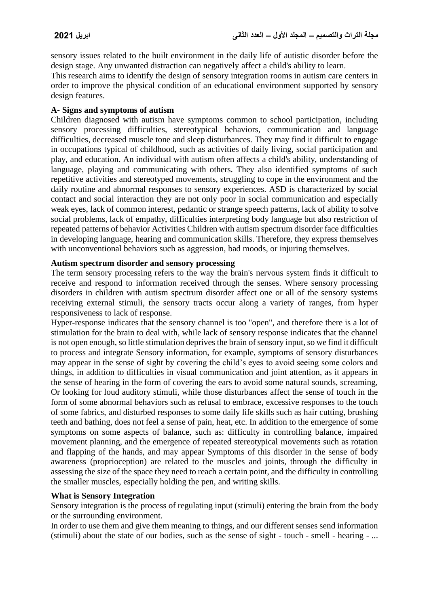sensory issues related to the built environment in the daily life of autistic disorder before the design stage. Any unwanted distraction can negatively affect a child's ability to learn.

This research aims to identify the design of sensory integration rooms in autism care centers in order to improve the physical condition of an educational environment supported by sensory design features.

#### **A- Signs and symptoms of autism**

Children diagnosed with autism have symptoms common to school participation, including sensory processing difficulties, stereotypical behaviors, communication and language difficulties, decreased muscle tone and sleep disturbances. They may find it difficult to engage in occupations typical of childhood, such as activities of daily living, social participation and play, and education. An individual with autism often affects a child's ability, understanding of language, playing and communicating with others. They also identified symptoms of such repetitive activities and stereotyped movements, struggling to cope in the environment and the daily routine and abnormal responses to sensory experiences. ASD is characterized by social contact and social interaction they are not only poor in social communication and especially weak eyes, lack of common interest, pedantic or strange speech patterns, lack of ability to solve social problems, lack of empathy, difficulties interpreting body language but also restriction of repeated patterns of behavior Activities Children with autism spectrum disorder face difficulties in developing language, hearing and communication skills. Therefore, they express themselves with unconventional behaviors such as aggression, bad moods, or injuring themselves.

#### **Autism spectrum disorder and sensory processing**

The term sensory processing refers to the way the brain's nervous system finds it difficult to receive and respond to information received through the senses. Where sensory processing disorders in children with autism spectrum disorder affect one or all of the sensory systems receiving external stimuli, the sensory tracts occur along a variety of ranges, from hyper responsiveness to lack of response.

Hyper-response indicates that the sensory channel is too "open", and therefore there is a lot of stimulation for the brain to deal with, while lack of sensory response indicates that the channel is not open enough, so little stimulation deprives the brain of sensory input, so we find it difficult to process and integrate Sensory information, for example, symptoms of sensory disturbances may appear in the sense of sight by covering the child's eyes to avoid seeing some colors and things, in addition to difficulties in visual communication and joint attention, as it appears in the sense of hearing in the form of covering the ears to avoid some natural sounds, screaming, Or looking for loud auditory stimuli, while those disturbances affect the sense of touch in the form of some abnormal behaviors such as refusal to embrace, excessive responses to the touch of some fabrics, and disturbed responses to some daily life skills such as hair cutting, brushing teeth and bathing, does not feel a sense of pain, heat, etc. In addition to the emergence of some symptoms on some aspects of balance, such as: difficulty in controlling balance, impaired movement planning, and the emergence of repeated stereotypical movements such as rotation and flapping of the hands, and may appear Symptoms of this disorder in the sense of body awareness (proprioception) are related to the muscles and joints, through the difficulty in assessing the size of the space they need to reach a certain point, and the difficulty in controlling the smaller muscles, especially holding the pen, and writing skills.

## **What is Sensory Integration**

Sensory integration is the process of regulating input (stimuli) entering the brain from the body or the surrounding environment.

In order to use them and give them meaning to things, and our different senses send information (stimuli) about the state of our bodies, such as the sense of sight - touch - smell - hearing - ...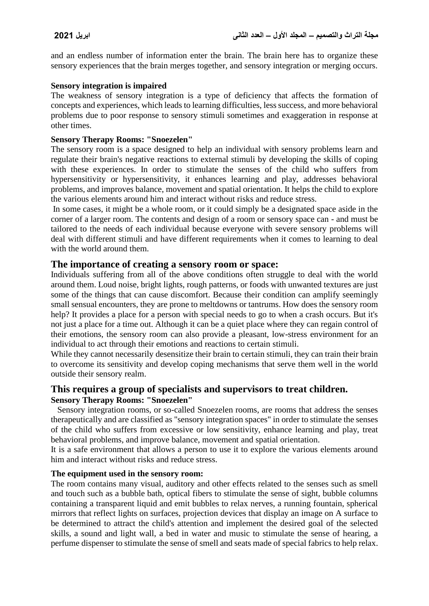and an endless number of information enter the brain. The brain here has to organize these sensory experiences that the brain merges together, and sensory integration or merging occurs.

#### **Sensory integration is impaired**

The weakness of sensory integration is a type of deficiency that affects the formation of concepts and experiences, which leads to learning difficulties, less success, and more behavioral problems due to poor response to sensory stimuli sometimes and exaggeration in response at other times.

## **Sensory Therapy Rooms: "Snoezelen"**

The sensory room is a space designed to help an individual with sensory problems learn and regulate their brain's negative reactions to external stimuli by developing the skills of coping with these experiences. In order to stimulate the senses of the child who suffers from hypersensitivity or hypersensitivity, it enhances learning and play, addresses behavioral problems, and improves balance, movement and spatial orientation. It helps the child to explore the various elements around him and interact without risks and reduce stress.

In some cases, it might be a whole room, or it could simply be a designated space aside in the corner of a larger room. The contents and design of a room or sensory space can - and must be tailored to the needs of each individual because everyone with severe sensory problems will deal with different stimuli and have different requirements when it comes to learning to deal with the world around them.

## **The importance of creating a sensory room or space:**

Individuals suffering from all of the above conditions often struggle to deal with the world around them. Loud noise, bright lights, rough patterns, or foods with unwanted textures are just some of the things that can cause discomfort. Because their condition can amplify seemingly small sensual encounters, they are prone to meltdowns or tantrums. How does the sensory room help? It provides a place for a person with special needs to go to when a crash occurs. But it's not just a place for a time out. Although it can be a quiet place where they can regain control of their emotions, the sensory room can also provide a pleasant, low-stress environment for an individual to act through their emotions and reactions to certain stimuli.

While they cannot necessarily desensitize their brain to certain stimuli, they can train their brain to overcome its sensitivity and develop coping mechanisms that serve them well in the world outside their sensory realm.

## **This requires a group of specialists and supervisors to treat children. Sensory Therapy Rooms: "Snoezelen"**

 Sensory integration rooms, or so-called Snoezelen rooms, are rooms that address the senses therapeutically and are classified as "sensory integration spaces" in order to stimulate the senses of the child who suffers from excessive or low sensitivity, enhance learning and play, treat behavioral problems, and improve balance, movement and spatial orientation.

It is a safe environment that allows a person to use it to explore the various elements around him and interact without risks and reduce stress.

#### **The equipment used in the sensory room:**

The room contains many visual, auditory and other effects related to the senses such as smell and touch such as a bubble bath, optical fibers to stimulate the sense of sight, bubble columns containing a transparent liquid and emit bubbles to relax nerves, a running fountain, spherical mirrors that reflect lights on surfaces, projection devices that display an image on A surface to be determined to attract the child's attention and implement the desired goal of the selected skills, a sound and light wall, a bed in water and music to stimulate the sense of hearing, a perfume dispenser to stimulate the sense of smell and seats made of special fabrics to help relax.